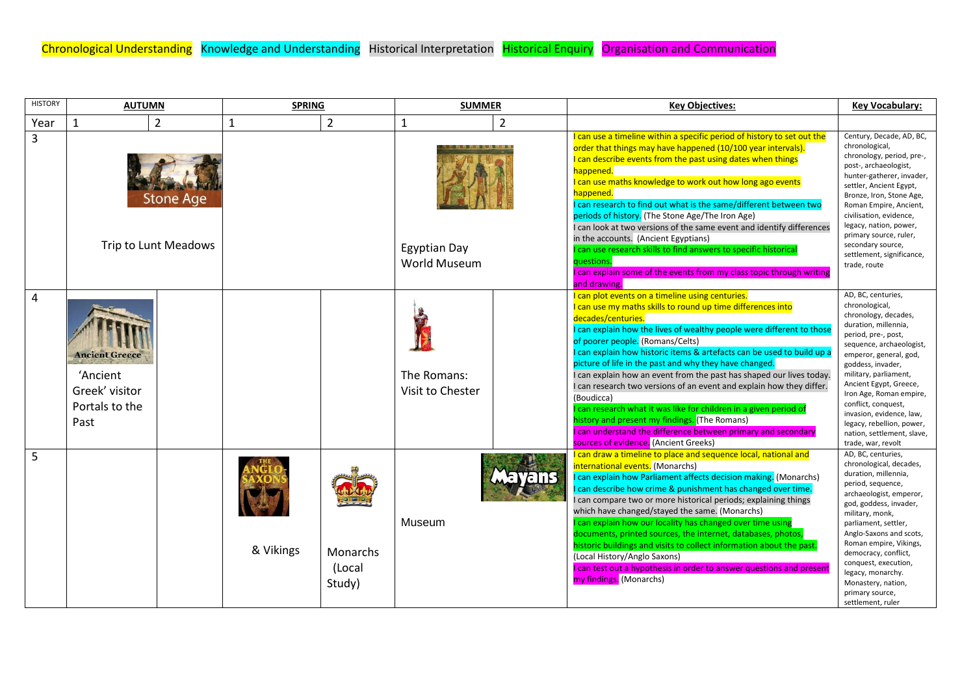| <b>HISTORY</b> | <b>AUTUMN</b>                                                                 |                | <b>SPRING</b> |                              | <b>SUMMER</b>                       |                | <b>Key Objectives:</b>                                                                                                                                                                                                                                                                                                                                                                                                                                                                                                                                                                                                                                                                                                                                                                               | <b>Key Vocabulary:</b>                                                                                                                                                                                                                                                                                                                                                                                   |
|----------------|-------------------------------------------------------------------------------|----------------|---------------|------------------------------|-------------------------------------|----------------|------------------------------------------------------------------------------------------------------------------------------------------------------------------------------------------------------------------------------------------------------------------------------------------------------------------------------------------------------------------------------------------------------------------------------------------------------------------------------------------------------------------------------------------------------------------------------------------------------------------------------------------------------------------------------------------------------------------------------------------------------------------------------------------------------|----------------------------------------------------------------------------------------------------------------------------------------------------------------------------------------------------------------------------------------------------------------------------------------------------------------------------------------------------------------------------------------------------------|
| Year           | 1                                                                             | $\overline{2}$ | 1             | $\overline{2}$               | 1                                   | $\overline{2}$ |                                                                                                                                                                                                                                                                                                                                                                                                                                                                                                                                                                                                                                                                                                                                                                                                      |                                                                                                                                                                                                                                                                                                                                                                                                          |
| 3              | <b>Stone Age</b><br>Trip to Lunt Meadows                                      |                |               |                              | <b>Egyptian Day</b><br>World Museum |                | I can use a timeline within a specific period of history to set out the<br>order that things may have happened (10/100 year intervals).<br>I can describe events from the past using dates when things<br>happened.<br>I can use maths knowledge to work out how long ago events<br>happened.<br>I can research to find out what is the same/different between two<br>periods of history. (The Stone Age/The Iron Age)<br>I can look at two versions of the same event and identify differences<br>in the accounts. (Ancient Egyptians)<br>I can use research skills to find answers to specific historical<br>questions.<br>I can explain some of the events from my class topic through writing                                                                                                    | Century, Decade, AD, BC,<br>chronological,<br>chronology, period, pre-,<br>post-, archaeologist,<br>hunter-gatherer, invader,<br>settler, Ancient Egypt,<br>Bronze, Iron, Stone Age,<br>Roman Empire, Ancient,<br>civilisation, evidence,<br>legacy, nation, power,<br>primary source, ruler,<br>secondary source,<br>settlement, significance,<br>trade, route                                          |
| $\overline{4}$ | <b>Ancient Greece</b><br>'Ancient<br>Greek' visitor<br>Portals to the<br>Past |                |               |                              | The Romans:<br>Visit to Chester     |                | and drawing.<br>I can plot events on a timeline using centuries.<br>I can use my maths skills to round up time differences into<br>decades/centuries.<br>I can explain how the lives of wealthy people were different to those<br>of poorer people. (Romans/Celts)<br>I can explain how historic items & artefacts can be used to build up a<br>picture of life in the past and why they have changed.<br>I can explain how an event from the past has shaped our lives today.<br>I can research two versions of an event and explain how they differ.<br>(Boudicca)<br>I can research what it was like for children in a given period of<br>history and present my findings. (The Romans)<br>I can understand the difference between primary and secondary<br>sources of evidence. (Ancient Greeks) | AD, BC, centuries,<br>chronological,<br>chronology, decades,<br>duration, millennia,<br>period, pre-, post,<br>sequence, archaeologist,<br>emperor, general, god,<br>goddess, invader,<br>military, parliament,<br>Ancient Egypt, Greece,<br>Iron Age, Roman empire,<br>conflict, conquest,<br>invasion, evidence, law,<br>legacy, rebellion, power,<br>nation, settlement, slave,<br>trade, war, revolt |
| 5              |                                                                               |                | & Vikings     | Monarchs<br>(Local<br>Study) | Museum                              | <b>Aavans</b>  | I can draw a timeline to place and sequence local, national and<br>international events. (Monarchs)<br>I can explain how Parliament affects decision making. (Monarchs)<br>I can describe how crime & punishment has changed over time.<br>I can compare two or more historical periods; explaining things<br>which have changed/stayed the same. (Monarchs)<br>can explain how our locality has changed over time using<br>documents, printed sources, the internet, databases, photos,<br>historic buildings and visits to collect information about the past.<br>(Local History/Anglo Saxons)<br>I can test out a hypothesis in order to answer questions and present<br>my findings. (Monarchs)                                                                                                  | AD, BC, centuries,<br>chronological, decades,<br>duration, millennia,<br>period, sequence,<br>archaeologist, emperor,<br>god, goddess, invader,<br>military, monk,<br>parliament, settler,<br>Anglo-Saxons and scots,<br>Roman empire, Vikings,<br>democracy, conflict,<br>conquest, execution,<br>legacy, monarchy.<br>Monastery, nation,<br>primary source,<br>settlement, ruler                       |